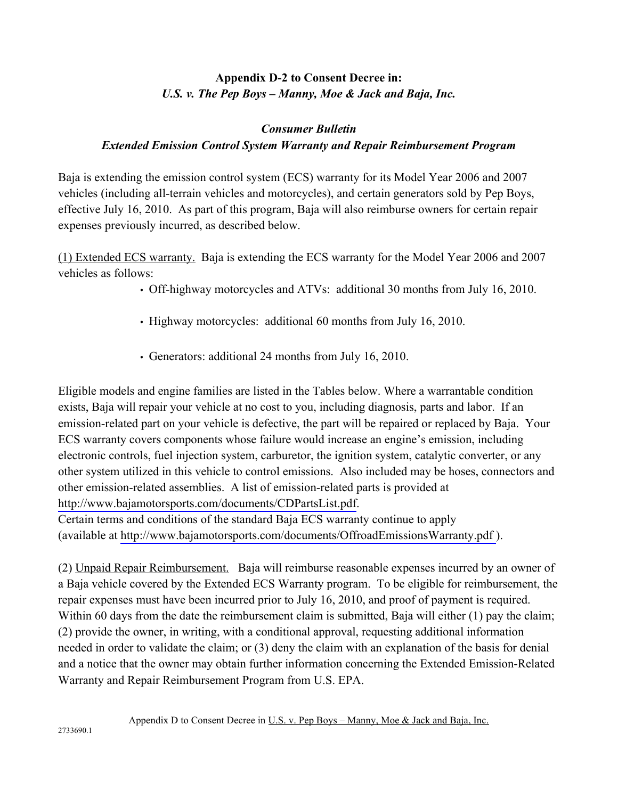## **Appendix D-2 to Consent Decree in:**  *U.S. v. The Pep Boys – Manny, Moe & Jack and Baja, Inc.*

## *Consumer Bulletin Extended Emission Control System Warranty and Repair Reimbursement Program*

Baja is extending the emission control system (ECS) warranty for its Model Year 2006 and 2007 vehicles (including all-terrain vehicles and motorcycles), and certain generators sold by Pep Boys, effective July 16, 2010. As part of this program, Baja will also reimburse owners for certain repair expenses previously incurred, as described below.

(1) Extended ECS warranty. Baja is extending the ECS warranty for the Model Year 2006 and 2007 vehicles as follows:

• Off-highway motorcycles and ATVs: additional 30 months from July 16, 2010.

- Highway motorcycles: additional 60 months from July 16, 2010.
- Generators: additional 24 months from July 16, 2010.

Eligible models and engine families are listed in the Tables below. Where a warrantable condition exists, Baja will repair your vehicle at no cost to you, including diagnosis, parts and labor. If an emission-related part on your vehicle is defective, the part will be repaired or replaced by Baja. Your ECS warranty covers components whose failure would increase an engine's emission, including electronic controls, fuel injection system, carburetor, the ignition system, catalytic converter, or any other system utilized in this vehicle to control emissions. Also included may be hoses, connectors and other emission-related assemblies. A list of emission-related parts is provided at <http://www.bajamotorsports.com/documents/CDPartsList.pdf>. Certain terms and conditions of the standard Baja ECS warranty continue to apply

(available at <http://www.bajamotorsports.com/documents/OffroadEmissionsWarranty.pdf>).

(2) Unpaid Repair Reimbursement. Baja will reimburse reasonable expenses incurred by an owner of a Baja vehicle covered by the Extended ECS Warranty program. To be eligible for reimbursement, the repair expenses must have been incurred prior to July 16, 2010, and proof of payment is required. Within 60 days from the date the reimbursement claim is submitted, Baja will either (1) pay the claim; (2) provide the owner, in writing, with a conditional approval, requesting additional information needed in order to validate the claim; or (3) deny the claim with an explanation of the basis for denial and a notice that the owner may obtain further information concerning the Extended Emission-Related Warranty and Repair Reimbursement Program from U.S. EPA.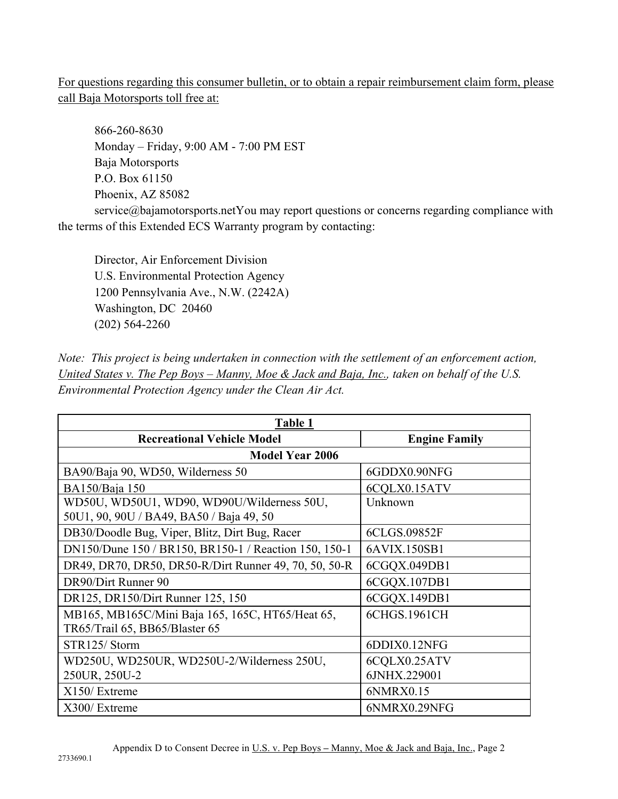For questions regarding this consumer bulletin, or to obtain a repair reimbursement claim form, please call Baja Motorsports toll free at:

866-260-8630 Monday – Friday, 9:00 AM - 7:00 PM EST Baja Motorsports P.O. Box 61150 Phoenix, AZ 85082

service@bajamotorsports.netYou may report questions or concerns regarding compliance with the terms of this Extended ECS Warranty program by contacting:

Director, Air Enforcement Division U.S. Environmental Protection Agency 1200 Pennsylvania Ave., N.W. (2242A) Washington, DC 20460 (202) 564-2260

*Note: This project is being undertaken in connection with the settlement of an enforcement action, United States v. The Pep Boys – Manny, Moe & Jack and Baja, Inc., taken on behalf of the U.S. Environmental Protection Agency under the Clean Air Act.* 

| Table 1                                                                                |                      |  |
|----------------------------------------------------------------------------------------|----------------------|--|
| <b>Recreational Vehicle Model</b>                                                      | <b>Engine Family</b> |  |
| <b>Model Year 2006</b>                                                                 |                      |  |
| BA90/Baja 90, WD50, Wilderness 50                                                      | 6GDDX0.90NFG         |  |
| BA150/Baja 150                                                                         | 6CQLX0.15ATV         |  |
| WD50U, WD50U1, WD90, WD90U/Wilderness 50U,<br>50U1, 90, 90U / BA49, BA50 / Baja 49, 50 | Unknown              |  |
| DB30/Doodle Bug, Viper, Blitz, Dirt Bug, Racer                                         | 6CLGS.09852F         |  |
| DN150/Dune 150 / BR150, BR150-1 / Reaction 150, 150-1                                  | 6AVIX.150SB1         |  |
| DR49, DR70, DR50, DR50-R/Dirt Runner 49, 70, 50, 50-R                                  | 6CGQX.049DB1         |  |
| DR90/Dirt Runner 90                                                                    | 6CGQX.107DB1         |  |
| DR125, DR150/Dirt Runner 125, 150                                                      | 6CGQX.149DB1         |  |
| MB165, MB165C/Mini Baja 165, 165C, HT65/Heat 65,<br>TR65/Trail 65, BB65/Blaster 65     | 6CHGS.1961CH         |  |
| STR125/Storm                                                                           | 6DDIX0.12NFG         |  |
| WD250U, WD250UR, WD250U-2/Wilderness 250U,                                             | 6CQLX0.25ATV         |  |
| 250UR, 250U-2                                                                          | 6JNHX.229001         |  |
| X150/ Extreme                                                                          | 6NMRX0.15            |  |
| X300/ Extreme                                                                          | 6NMRX0.29NFG         |  |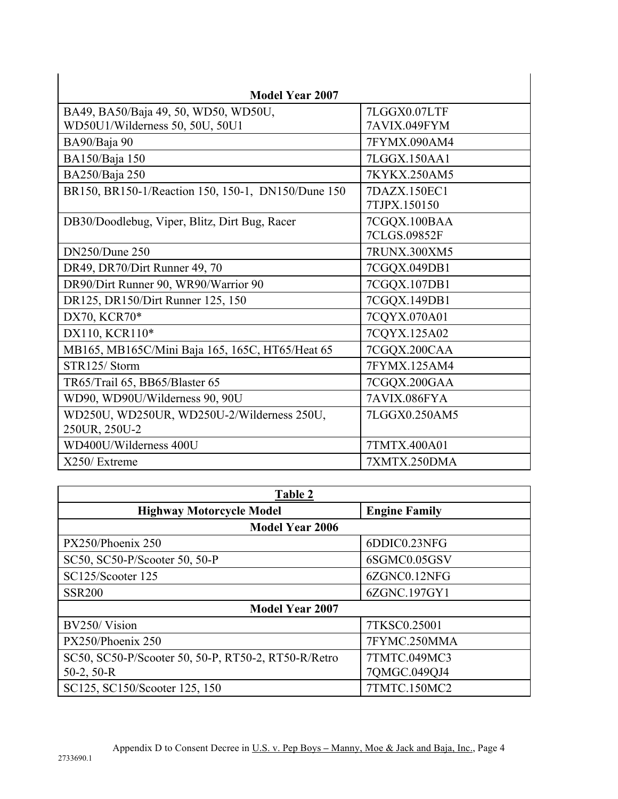| <b>Model Year 2007</b>                                      |                              |
|-------------------------------------------------------------|------------------------------|
| BA49, BA50/Baja 49, 50, WD50, WD50U,                        | 7LGGX0.07LTF                 |
| WD50U1/Wilderness 50, 50U, 50U1                             | 7AVIX.049FYM                 |
| BA90/Baja 90                                                | 7FYMX.090AM4                 |
| BA150/Baja 150                                              | 7LGGX.150AA1                 |
| BA250/Baja 250                                              | 7KYKX.250AM5                 |
| BR150, BR150-1/Reaction 150, 150-1, DN150/Dune 150          | 7DAZX.150EC1<br>7TJPX.150150 |
| DB30/Doodlebug, Viper, Blitz, Dirt Bug, Racer               | 7CGQX.100BAA<br>7CLGS.09852F |
| <b>DN250/Dune 250</b>                                       | 7RUNX.300XM5                 |
| DR49, DR70/Dirt Runner 49, 70                               | 7CGQX.049DB1                 |
| DR90/Dirt Runner 90, WR90/Warrior 90                        | 7CGQX.107DB1                 |
| DR125, DR150/Dirt Runner 125, 150                           | 7CGQX.149DB1                 |
| DX70, KCR70*                                                | 7CQYX.070A01                 |
| DX110, KCR110*                                              | 7CQYX.125A02                 |
| MB165, MB165C/Mini Baja 165, 165C, HT65/Heat 65             | 7CGQX.200CAA                 |
| STR125/Storm                                                | 7FYMX.125AM4                 |
| TR65/Trail 65, BB65/Blaster 65                              | 7CGQX.200GAA                 |
| WD90, WD90U/Wilderness 90, 90U                              | 7AVIX.086FYA                 |
| WD250U, WD250UR, WD250U-2/Wilderness 250U,<br>250UR, 250U-2 | 7LGGX0.250AM5                |
| WD400U/Wilderness 400U                                      | 7TMTX.400A01                 |
| X250/ Extreme                                               | 7XMTX.250DMA                 |

| Table 2                                             |                      |  |
|-----------------------------------------------------|----------------------|--|
| <b>Highway Motorcycle Model</b>                     | <b>Engine Family</b> |  |
| <b>Model Year 2006</b>                              |                      |  |
| PX250/Phoenix 250                                   | 6DDIC0.23NFG         |  |
| SC50, SC50-P/Scooter 50, 50-P                       | 6SGMC0.05GSV         |  |
| SC125/Scooter 125                                   | 6ZGNC0.12NFG         |  |
| <b>SSR200</b>                                       | 6ZGNC.197GY1         |  |
| <b>Model Year 2007</b>                              |                      |  |
| BV250/Vision                                        | 7TKSC0.25001         |  |
| PX250/Phoenix 250                                   | 7FYMC.250MMA         |  |
| SC50, SC50-P/Scooter 50, 50-P, RT50-2, RT50-R/Retro | 7TMTC.049MC3         |  |
| $50-2, 50-R$                                        | 7QMGC.049QJ4         |  |
| SC125, SC150/Scooter 125, 150                       | 7TMTC.150MC2         |  |